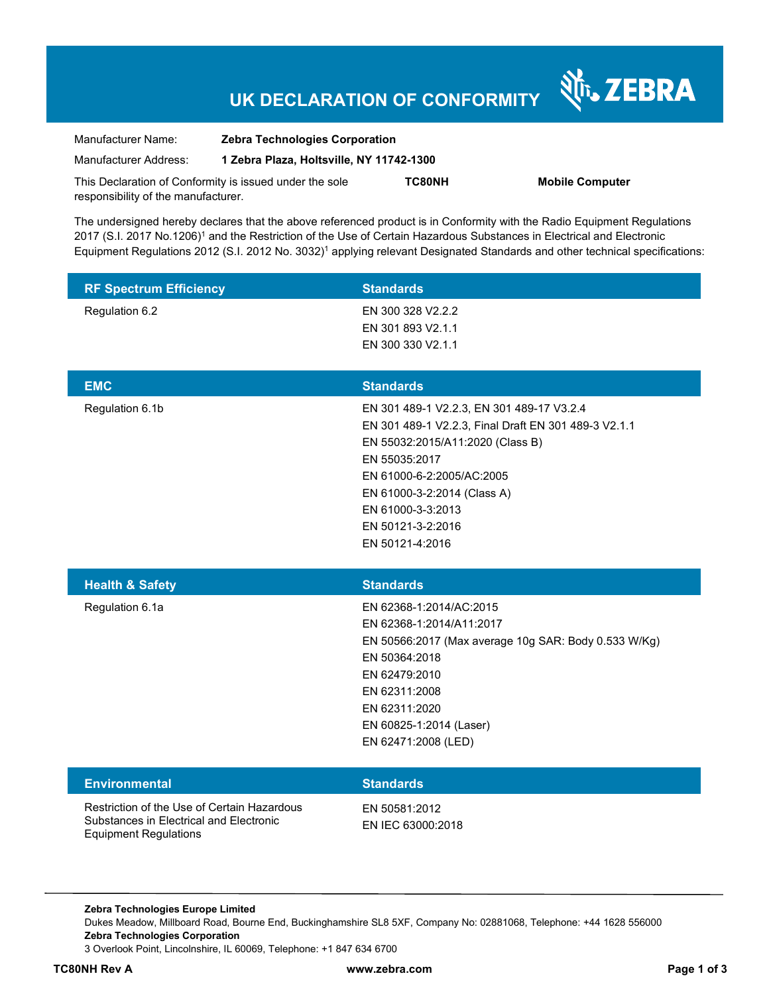# **UK DECLARATION OF CONFORMITY**

Nr. ZEBRA

| Manufacturer Name:                                      | <b>Zebra Technologies Corporation</b>    |               |                        |
|---------------------------------------------------------|------------------------------------------|---------------|------------------------|
| Manufacturer Address:                                   | 1 Zebra Plaza, Holtsville, NY 11742-1300 |               |                        |
| This Declaration of Conformity is issued under the sole |                                          | <b>TC80NH</b> | <b>Mobile Computer</b> |
| responsibility of the manufacturer.                     |                                          |               |                        |

The undersigned hereby declares that the above referenced product is in Conformity with the Radio Equipment Regulations 2017 (S.I. 2017 No.1206)<sup>1</sup> and the Restriction of the Use of Certain Hazardous Substances in Electrical and Electronic Equipment Regulations 2012 (S.I. 2012 No. 3032)<sup>1</sup> applying relevant Designated Standards and other technical specifications:

| <b>RF Spectrum Efficiency</b> | <b>Standards</b>                                                                                                                                                                                                                                                                |
|-------------------------------|---------------------------------------------------------------------------------------------------------------------------------------------------------------------------------------------------------------------------------------------------------------------------------|
| Regulation 6.2                | EN 300 328 V2.2.2<br>EN 301 893 V2.1.1<br>EN 300 330 V2.1.1                                                                                                                                                                                                                     |
| <b>EMC</b>                    | <b>Standards</b>                                                                                                                                                                                                                                                                |
| Regulation 6.1b               | EN 301 489-1 V2.2.3, EN 301 489-17 V3.2.4<br>EN 301 489-1 V2.2.3, Final Draft EN 301 489-3 V2.1.1<br>EN 55032:2015/A11:2020 (Class B)<br>EN 55035:2017<br>EN 61000-6-2:2005/AC:2005<br>EN 61000-3-2:2014 (Class A)<br>EN 61000-3-3:2013<br>EN 50121-3-2:2016<br>EN 50121-4:2016 |
|                               |                                                                                                                                                                                                                                                                                 |
| <b>Health &amp; Safety</b>    | <b>Standards</b>                                                                                                                                                                                                                                                                |
| Regulation 6.1a               | EN 62368-1:2014/AC:2015<br>EN 62368-1:2014/A11:2017<br>EN 50566:2017 (Max average 10g SAR: Body 0.533 W/Kg)<br>EN 50364:2018<br>EN 62479:2010<br>EN 62311:2008<br>EN 62311:2020<br>EN 60825-1:2014 (Laser)<br>EN 62471:2008 (LED)                                               |
| <b>Environmental</b>          | <b>Standards</b>                                                                                                                                                                                                                                                                |

**Zebra Technologies Europe Limited**  Dukes Meadow, Millboard Road, Bourne End, Buckinghamshire SL8 5XF, Company No: 02881068, Telephone: +44 1628 556000 **Zebra Technologies Corporation**  3 Overlook Point, Lincolnshire, IL 60069, Telephone: +1 847 634 6700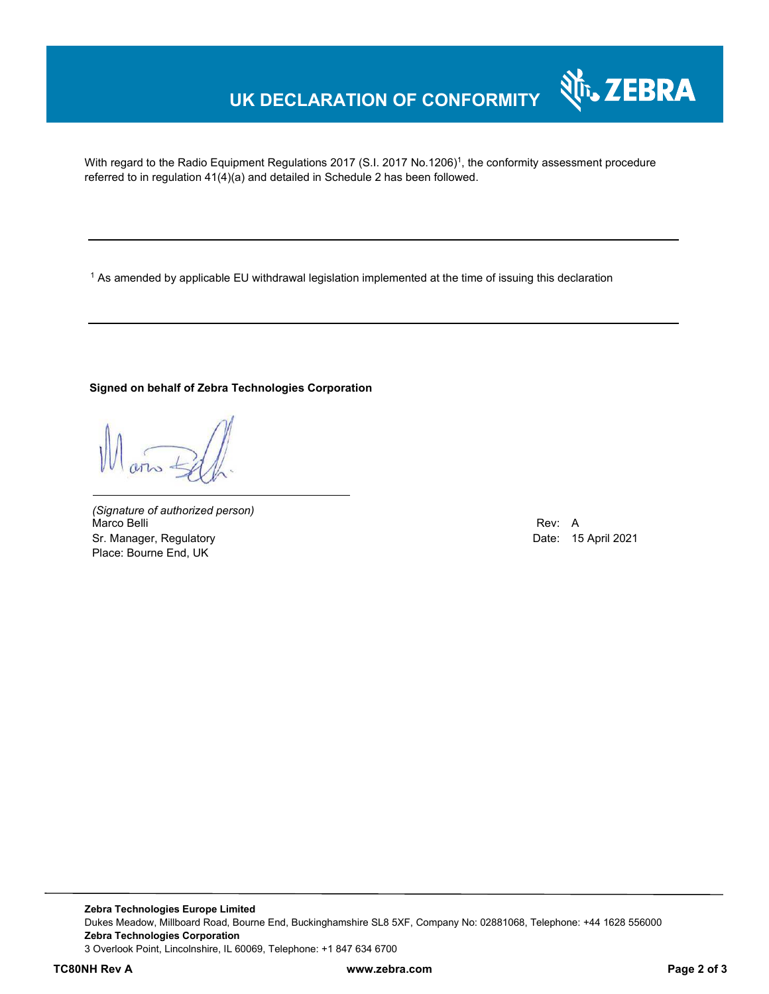## **UK DECLARATION OF CONFORMITY**

With regard to the Radio Equipment Regulations 2017 (S.I. 2017 No.1206)<sup>1</sup>, the conformity assessment procedure referred to in regulation 41(4)(a) and detailed in Schedule 2 has been followed.

 $^{\rm 1}$  As amended by applicable EU withdrawal legislation implemented at the time of issuing this declaration

#### **Signed on behalf of Zebra Technologies Corporation**

*(Signature of authorized person)* Marco Belli Rev: A Sr. Manager, Regulatory **Date: 15 April 2021** Place: Bourne End, UK

Nr. ZEBRA

**Zebra Technologies Europe Limited**  Dukes Meadow, Millboard Road, Bourne End, Buckinghamshire SL8 5XF, Company No: 02881068, Telephone: +44 1628 556000 **Zebra Technologies Corporation**  3 Overlook Point, Lincolnshire, IL 60069, Telephone: +1 847 634 6700